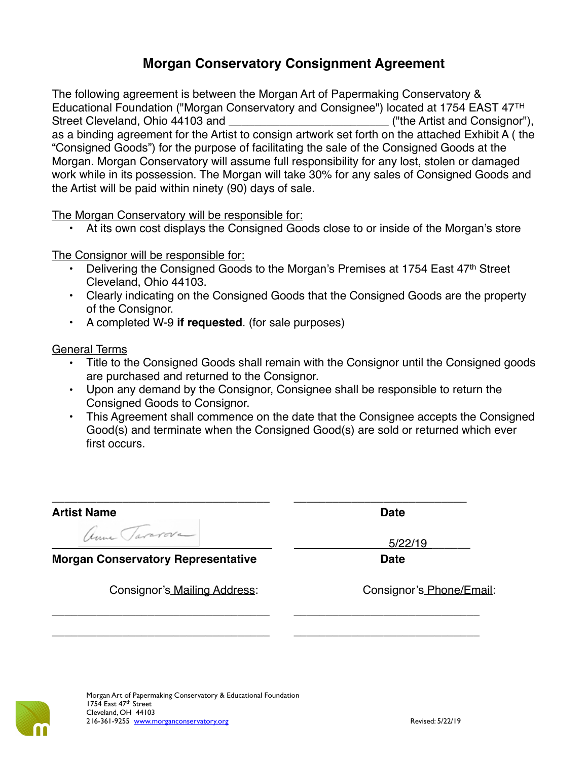## **Morgan Conservatory Consignment Agreement**

The following agreement is between the Morgan Art of Papermaking Conservatory & Educational Foundation ("Morgan Conservatory and Consignee") located at 1754 EAST 47TH Street Cleveland, Ohio 44103 and **Exercise 2018** ("the Artist and Consignor"), as a binding agreement for the Artist to consign artwork set forth on the attached Exhibit A ( the "Consigned Goods") for the purpose of facilitating the sale of the Consigned Goods at the Morgan. Morgan Conservatory will assume full responsibility for any lost, stolen or damaged work while in its possession. The Morgan will take 30% for any sales of Consigned Goods and the Artist will be paid within ninety (90) days of sale.

The Morgan Conservatory will be responsible for:

At its own cost displays the Consigned Goods close to or inside of the Morgan's store

The Consignor will be responsible for:

- Delivering the Consigned Goods to the Morgan's Premises at 1754 East 47<sup>th</sup> Street Cleveland, Ohio 44103.
- Clearly indicating on the Consigned Goods that the Consigned Goods are the property of the Consignor.
- A completed W-9 **if requested**. (for sale purposes)

General Terms

- Title to the Consigned Goods shall remain with the Consignor until the Consigned goods are purchased and returned to the Consignor.
- Upon any demand by the Consignor, Consignee shall be responsible to return the Consigned Goods to Consignor.
- This Agreement shall commence on the date that the Consignee accepts the Consigned Good(s) and terminate when the Consigned Good(s) are sold or returned which ever first occurs.

| <b>Artist Name</b><br>Anna Tararova       | <b>Date</b>              |
|-------------------------------------------|--------------------------|
| <b>Morgan Conservatory Representative</b> | 5/22/19<br><b>Date</b>   |
| Consignor's Mailing Address:              | Consignor's Phone/Email: |
|                                           |                          |

\_\_\_\_\_\_\_\_\_\_\_\_\_\_\_\_\_\_\_\_\_\_\_\_\_\_\_\_\_\_\_\_\_\_ \_\_\_\_\_\_\_\_\_\_\_\_\_\_\_\_\_\_\_\_\_\_\_\_\_\_\_